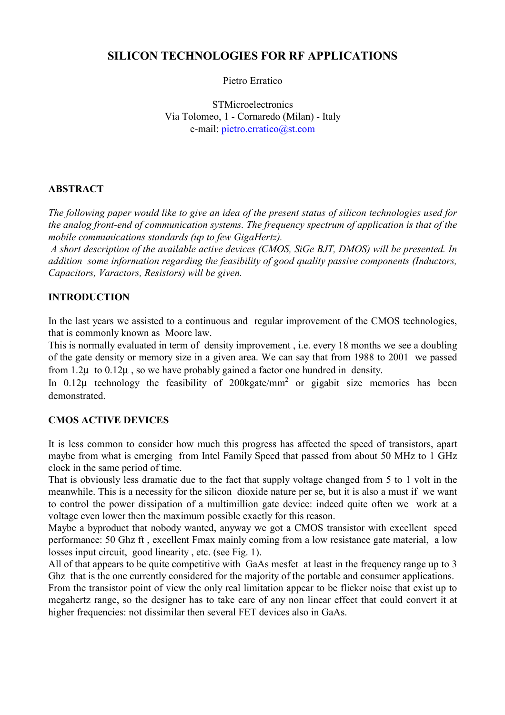# **SILICON TECHNOLOGIES FOR RF APPLICATIONS**

Pietro Erratico

**STMicroelectronics** Via Tolomeo, 1 - Cornaredo (Milan) - Italy e-mail: [pietro.erratico@st.com](mailto:pietro.erratico@st.com)

# **ABSTRACT**

*The following paper would like to give an idea of the present status of silicon technologies used for the analog front-end of communication systems. The frequency spectrum of application is that of the mobile communications standards (up to few GigaHertz).*

 *A short description of the available active devices (CMOS, SiGe BJT, DMOS) will be presented. In addition some information regarding the feasibility of good quality passive components (Inductors, Capacitors, Varactors, Resistors) will be given.*

# **INTRODUCTION**

In the last years we assisted to a continuous and regular improvement of the CMOS technologies, that is commonly known as Moore law.

This is normally evaluated in term of density improvement , i.e. every 18 months we see a doubling of the gate density or memory size in a given area. We can say that from 1988 to 2001 we passed from  $1.2\mu$  to  $0.12\mu$ , so we have probably gained a factor one hundred in density.

In  $0.12\mu$  technology the feasibility of 200kgate/mm<sup>2</sup> or gigabit size memories has been demonstrated.

#### **CMOS ACTIVE DEVICES**

It is less common to consider how much this progress has affected the speed of transistors, apart maybe from what is emerging from Intel Family Speed that passed from about 50 MHz to 1 GHz clock in the same period of time.

That is obviously less dramatic due to the fact that supply voltage changed from 5 to 1 volt in the meanwhile. This is a necessity for the silicon dioxide nature per se, but it is also a must if we want to control the power dissipation of a multimillion gate device: indeed quite often we work at a voltage even lower then the maximum possible exactly for this reason.

Maybe a byproduct that nobody wanted, anyway we got a CMOS transistor with excellent speed performance: 50 Ghz ft , excellent Fmax mainly coming from a low resistance gate material, a low losses input circuit, good linearity , etc. (see Fig. 1).

All of that appears to be quite competitive with GaAs mesfet at least in the frequency range up to 3 Ghz that is the one currently considered for the majority of the portable and consumer applications.

From the transistor point of view the only real limitation appear to be flicker noise that exist up to megahertz range, so the designer has to take care of any non linear effect that could convert it at higher frequencies: not dissimilar then several FET devices also in GaAs.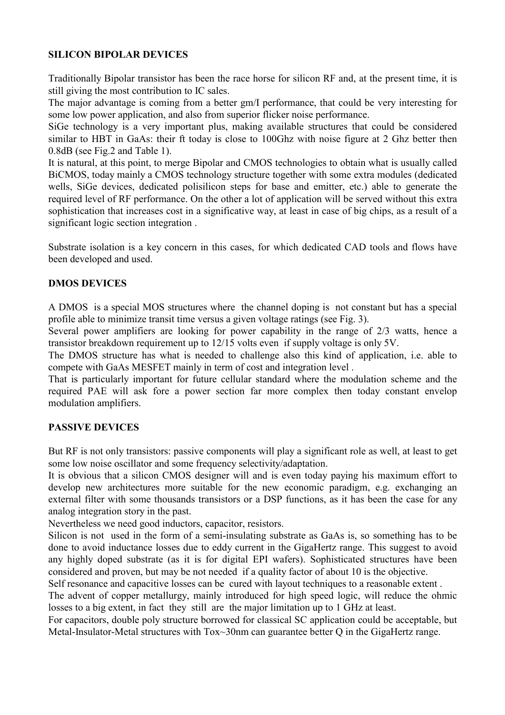#### **SILICON BIPOLAR DEVICES**

Traditionally Bipolar transistor has been the race horse for silicon RF and, at the present time, it is still giving the most contribution to IC sales.

The major advantage is coming from a better gm/I performance, that could be very interesting for some low power application, and also from superior flicker noise performance.

SiGe technology is a very important plus, making available structures that could be considered similar to HBT in GaAs: their ft today is close to 100Ghz with noise figure at 2 Ghz better then 0.8dB (see Fig.2 and Table 1).

It is natural, at this point, to merge Bipolar and CMOS technologies to obtain what is usually called BiCMOS, today mainly a CMOS technology structure together with some extra modules (dedicated wells, SiGe devices, dedicated polisilicon steps for base and emitter, etc.) able to generate the required level of RF performance. On the other a lot of application will be served without this extra sophistication that increases cost in a significative way, at least in case of big chips, as a result of a significant logic section integration .

Substrate isolation is a key concern in this cases, for which dedicated CAD tools and flows have been developed and used.

# **DMOS DEVICES**

A DMOS is a special MOS structures where the channel doping is not constant but has a special profile able to minimize transit time versus a given voltage ratings (see Fig. 3).

Several power amplifiers are looking for power capability in the range of 2/3 watts, hence a transistor breakdown requirement up to 12/15 volts even if supply voltage is only 5V.

The DMOS structure has what is needed to challenge also this kind of application, i.e. able to compete with GaAs MESFET mainly in term of cost and integration level .

That is particularly important for future cellular standard where the modulation scheme and the required PAE will ask fore a power section far more complex then today constant envelop modulation amplifiers.

# **PASSIVE DEVICES**

But RF is not only transistors: passive components will play a significant role as well, at least to get some low noise oscillator and some frequency selectivity/adaptation.

It is obvious that a silicon CMOS designer will and is even today paying his maximum effort to develop new architectures more suitable for the new economic paradigm, e.g. exchanging an external filter with some thousands transistors or a DSP functions, as it has been the case for any analog integration story in the past.

Nevertheless we need good inductors, capacitor, resistors.

Silicon is not used in the form of a semi-insulating substrate as GaAs is, so something has to be done to avoid inductance losses due to eddy current in the GigaHertz range. This suggest to avoid any highly doped substrate (as it is for digital EPI wafers). Sophisticated structures have been considered and proven, but may be not needed if a quality factor of about 10 is the objective.

Self resonance and capacitive losses can be cured with layout techniques to a reasonable extent .

The advent of copper metallurgy, mainly introduced for high speed logic, will reduce the ohmic losses to a big extent, in fact they still are the major limitation up to 1 GHz at least.

For capacitors, double poly structure borrowed for classical SC application could be acceptable, but Metal-Insulator-Metal structures with Tox~30nm can guarantee better Q in the GigaHertz range.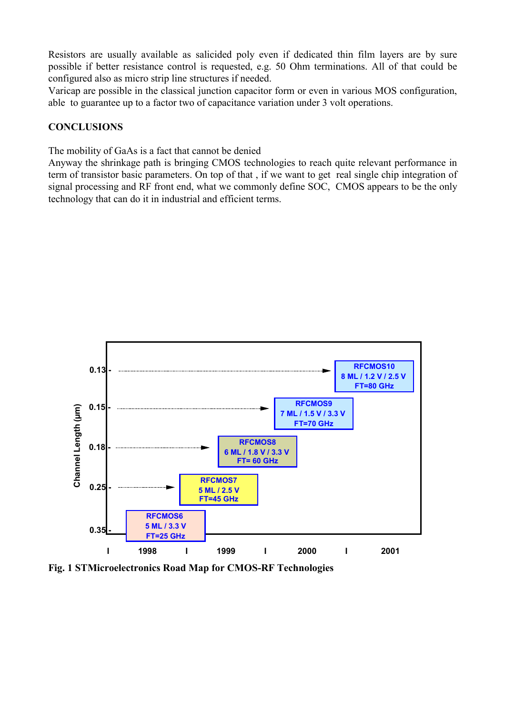Resistors are usually available as salicided poly even if dedicated thin film layers are by sure possible if better resistance control is requested, e.g. 50 Ohm terminations. All of that could be configured also as micro strip line structures if needed.

Varicap are possible in the classical junction capacitor form or even in various MOS configuration, able to guarantee up to a factor two of capacitance variation under 3 volt operations.

#### **CONCLUSIONS**

The mobility of GaAs is a fact that cannot be denied

Anyway the shrinkage path is bringing CMOS technologies to reach quite relevant performance in term of transistor basic parameters. On top of that , if we want to get real single chip integration of signal processing and RF front end, what we commonly define SOC, CMOS appears to be the only technology that can do it in industrial and efficient terms.